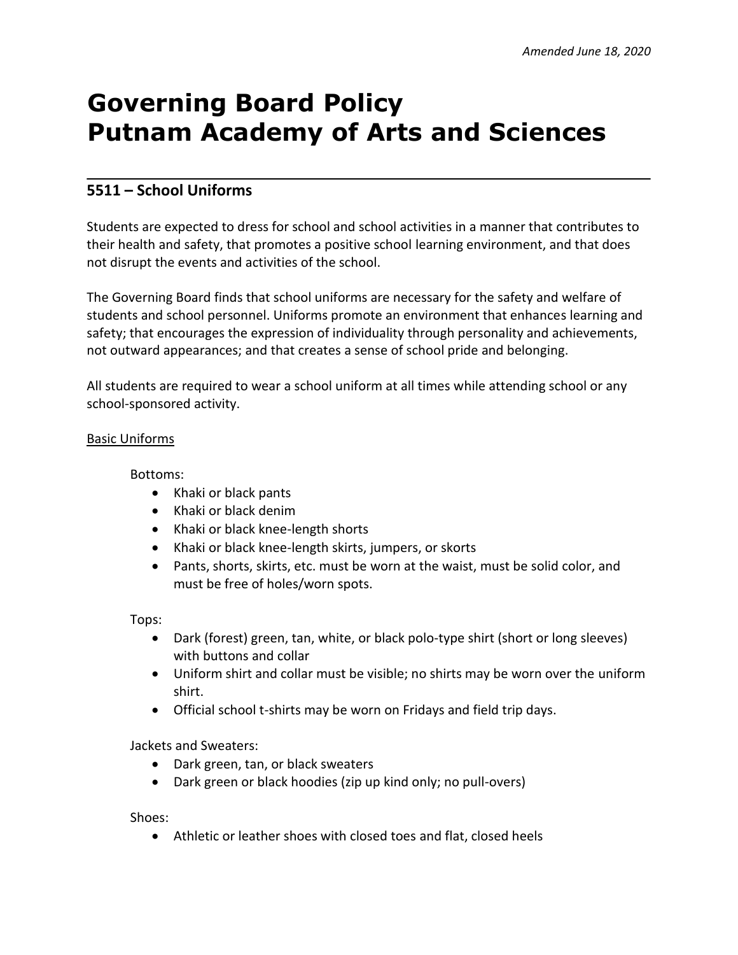# **Governing Board Policy Putnam Academy of Arts and Sciences**

# **5511 – School Uniforms**

Students are expected to dress for school and school activities in a manner that contributes to their health and safety, that promotes a positive school learning environment, and that does not disrupt the events and activities of the school.

The Governing Board finds that school uniforms are necessary for the safety and welfare of students and school personnel. Uniforms promote an environment that enhances learning and safety; that encourages the expression of individuality through personality and achievements, not outward appearances; and that creates a sense of school pride and belonging.

All students are required to wear a school uniform at all times while attending school or any school-sponsored activity.

## Basic Uniforms

Bottoms:

- Khaki or black pants
- Khaki or black denim
- Khaki or black knee-length shorts
- Khaki or black knee-length skirts, jumpers, or skorts
- Pants, shorts, skirts, etc. must be worn at the waist, must be solid color, and must be free of holes/worn spots.

Tops:

- Dark (forest) green, tan, white, or black polo-type shirt (short or long sleeves) with buttons and collar
- Uniform shirt and collar must be visible; no shirts may be worn over the uniform shirt.
- Official school t-shirts may be worn on Fridays and field trip days.

Jackets and Sweaters:

- Dark green, tan, or black sweaters
- Dark green or black hoodies (zip up kind only; no pull-overs)

Shoes:

Athletic or leather shoes with closed toes and flat, closed heels